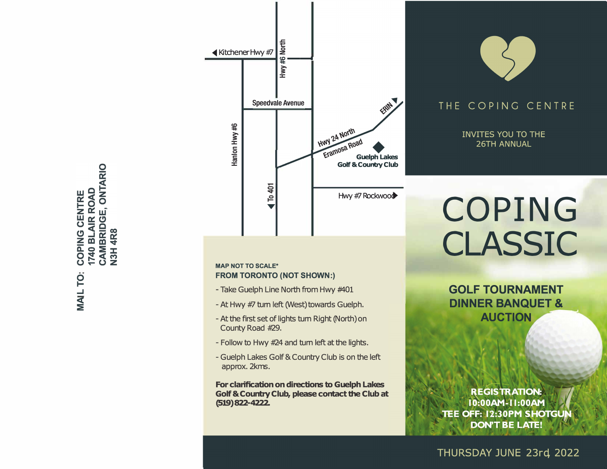**ONTARIO** COPING CENTRE<br>1740 BLAIR ROAD CAMBRIDGE, **N3H4R8** � **..J <C :E** 



# **MAP NOT TO SCALE\* FROM TORONTO (NOT SHOWN:)**

- Take Guelph Line North from Hwy #401
- At Hwy #7 tum left (West) towards Guelph.
- -At the first set of lights tum Right (North)on County Road *#29.*
- Follow to Hwy #24 and tum left at the lights.
- Guelph Lakes Golf & Country Club is on the left approx. 2kms.

**For clarification on directions to Guelph Lakes Golf & Country Club, please contact the Club at (Sl9)822-4222.** 



# THE COPING CENTRE

**INVITES YOU TO THE 26TH ANNUAL** 

# COPING CLASSIC

**GOLF TOURNAMENT DINNER BANQUET & AUCTION** 

**REGISTRATION:** 10:00AM-11:00AM TEE OFF: 12:30PM SHOTGU **DON'T BE LATE!** 

THURSDAY JUNE 23rd 2022